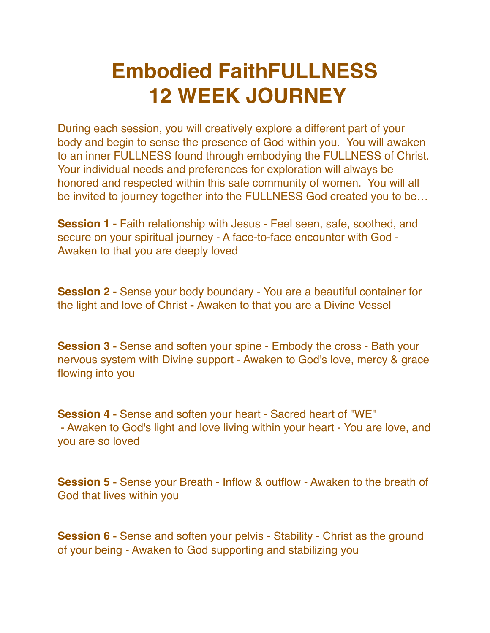## **Embodied FaithFULLNESS 12 WEEK JOURNEY**

During each session, you will creatively explore a different part of your body and begin to sense the presence of God within you. You will awaken to an inner FULLNESS found through embodying the FULLNESS of Christ. Your individual needs and preferences for exploration will always be honored and respected within this safe community of women. You will all be invited to journey together into the FULLNESS God created you to be…

**Session 1 -** Faith relationship with Jesus - Feel seen, safe, soothed, and secure on your spiritual journey - A face-to-face encounter with God - Awaken to that you are deeply loved

**Session 2 -** Sense your body boundary - You are a beautiful container for the light and love of Christ **-** Awaken to that you are a Divine Vessel

**Session 3 -** Sense and soften your spine - Embody the cross - Bath your nervous system with Divine support - Awaken to God's love, mercy & grace flowing into you

**Session 4 -** Sense and soften your heart - Sacred heart of "WE" - Awaken to God's light and love living within your heart - You are love, and you are so loved

**Session 5 -** Sense your Breath - Inflow & outflow - Awaken to the breath of God that lives within you

**Session 6 -** Sense and soften your pelvis - Stability - Christ as the ground of your being - Awaken to God supporting and stabilizing you